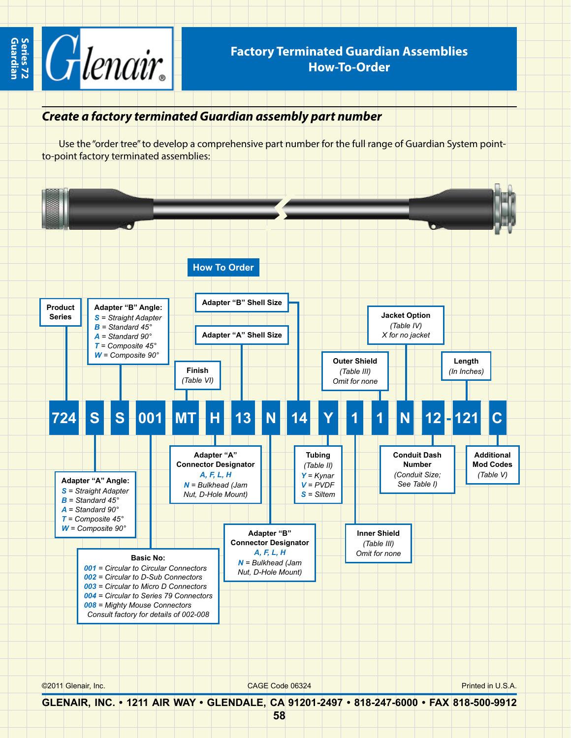

## **Factory Terminated Guardian Assemblies How-To-Order**

## *Create a factory terminated Guardian assembly part number*

Use the "order tree" to develop a comprehensive part number for the full range of Guardian System pointto-point factory terminated assemblies:



**GLENAIR, INC. • 1211 AIR WAY • GLENDALE, CA 91201-2497 • 818-247-6000 • FAX 818-500-9912**